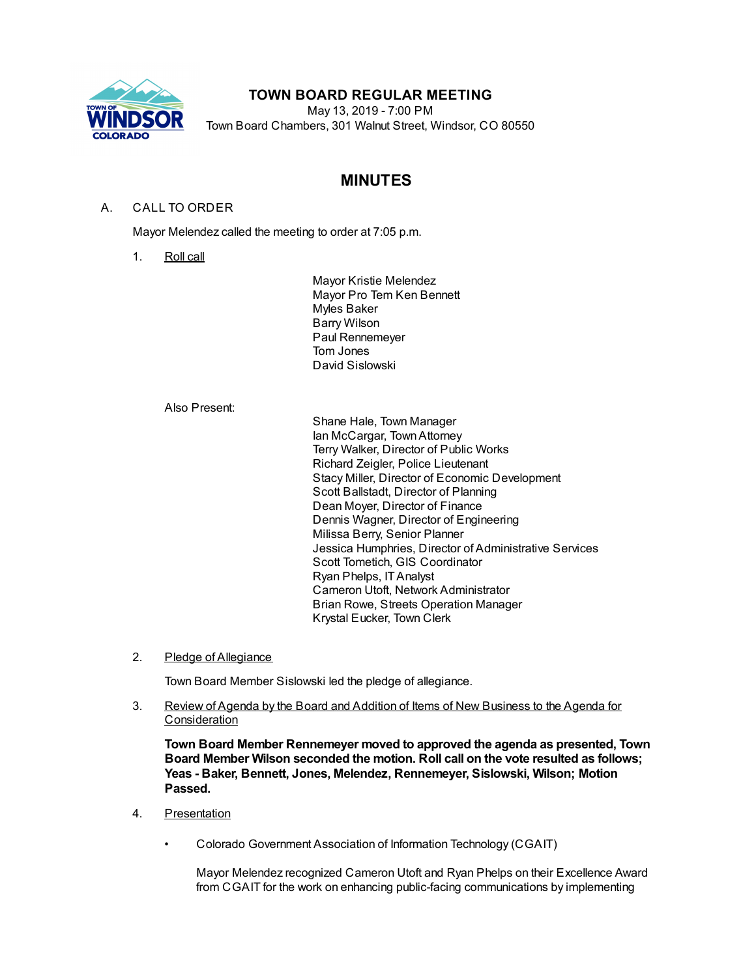

# **TOWN BOARD REGULAR MEETING**

May 13, 2019 - 7:00 PM Town Board Chambers, 301 Walnut Street, Windsor, CO 80550

# **MINUTES**

# A. CALL TO ORDER

Mayor Melendez called the meeting to order at 7:05 p.m.

1. Roll call

Mayor Kristie Melendez Mayor Pro Tem Ken Bennett Myles Baker Barry Wilson Paul Rennemeyer Tom Jones David Sislowski

#### Also Present:

Shane Hale, Town Manager Ian McCargar, TownAttorney Terry Walker, Director of Public Works Richard Zeigler, Police Lieutenant Stacy Miller, Director of Economic Development Scott Ballstadt, Director of Planning Dean Moyer, Director of Finance Dennis Wagner, Director of Engineering Milissa Berry, Senior Planner Jessica Humphries, Director of Administrative Services Scott Tometich, GIS Coordinator Ryan Phelps, ITAnalyst Cameron Utoft, Network Administrator Brian Rowe, Streets Operation Manager Krystal Eucker, Town Clerk

2. Pledge of Allegiance

Town Board Member Sislowski led the pledge of allegiance.

3. Review of Agenda by the Board and Addition of Items of New Business to the Agenda for **Consideration** 

**Town Board Member Rennemeyer moved to approved the agenda as presented, Town Board Member Wilson seconded the motion. Roll call on the vote resulted as follows; Yeas - Baker, Bennett, Jones, Melendez, Rennemeyer, Sislowski, Wilson; Motion Passed.**

- 4. Presentation
	- Colorado Government Association of Information Technology (CGAIT)

Mayor Melendez recognized Cameron Utoft and Ryan Phelps on their Excellence Award from CGAIT for the work on enhancing public-facing communications by implementing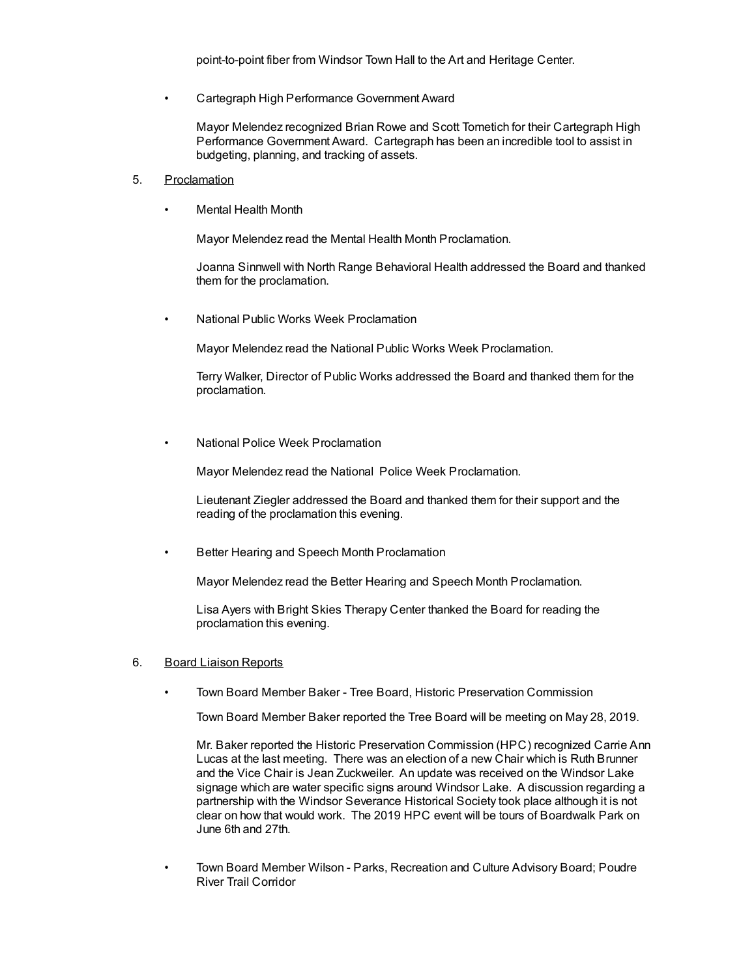• Cartegraph High Performance Government Award

Mayor Melendez recognized Brian Rowe and Scott Tometich for their Cartegraph High Performance Government Award. Cartegraph has been an incredible tool to assist in budgeting, planning, and tracking of assets.

- 5. Proclamation
	- Mental Health Month

Mayor Melendez read the Mental Health Month Proclamation.

Joanna Sinnwell with North Range Behavioral Health addressed the Board and thanked them for the proclamation.

• National Public Works Week Proclamation

Mayor Melendez read the National Public Works Week Proclamation.

Terry Walker, Director of Public Works addressed the Board and thanked them for the proclamation.

• National Police Week Proclamation

Mayor Melendez read the National Police Week Proclamation.

Lieutenant Ziegler addressed the Board and thanked them for their support and the reading of the proclamation this evening.

• Better Hearing and Speech Month Proclamation

Mayor Melendez read the Better Hearing and Speech Month Proclamation.

Lisa Ayers with Bright Skies Therapy Center thanked the Board for reading the proclamation this evening.

## 6. Board Liaison Reports

• Town Board Member Baker - Tree Board, Historic Preservation Commission

Town Board Member Baker reported the Tree Board will be meeting on May 28, 2019.

Mr. Baker reported the Historic Preservation Commission (HPC) recognized Carrie Ann Lucas at the last meeting. There was an election of a new Chair which is Ruth Brunner and the Vice Chair is Jean Zuckweiler. An update was received on the Windsor Lake signage which are water specific signs around Windsor Lake. A discussion regarding a partnership with the Windsor Severance Historical Society took place although it is not clear on how that would work. The 2019 HPC event will be tours of Boardwalk Park on June 6th and 27th.

• Town Board Member Wilson - Parks, Recreation and Culture Advisory Board; Poudre River Trail Corridor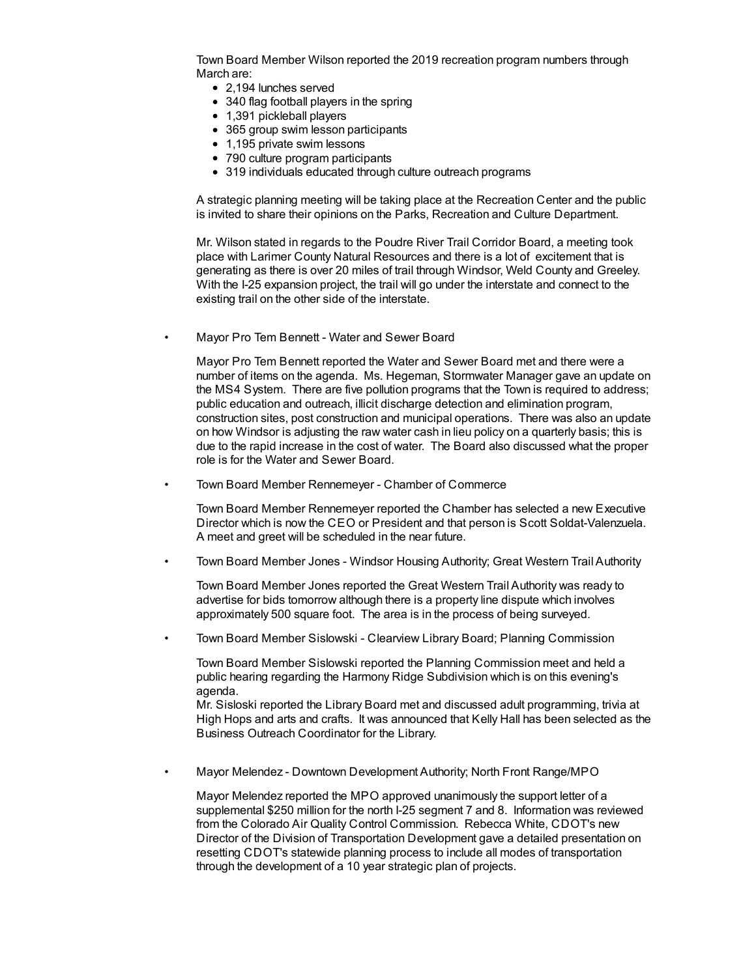Town Board Member Wilson reported the 2019 recreation program numbers through March are:

- 2,194 lunches served
- 340 flag football players in the spring
- 1,391 pickleball players
- 365 group swim lesson participants
- 1,195 private swim lessons
- 790 culture program participants
- 319 individuals educated through culture outreach programs

A strategic planning meeting will be taking place at the Recreation Center and the public is invited to share their opinions on the Parks, Recreation and Culture Department.

Mr. Wilson stated in regards to the Poudre River Trail Corridor Board, a meeting took place with Larimer County Natural Resources and there is a lot of excitement that is generating as there is over 20 miles of trail through Windsor, Weld County and Greeley. With the I-25 expansion project, the trail will go under the interstate and connect to the existing trail on the other side of the interstate.

• Mayor Pro Tem Bennett - Water and Sewer Board

Mayor Pro Tem Bennett reported the Water and Sewer Board met and there were a number of items on the agenda. Ms. Hegeman, Stormwater Manager gave an update on the MS4 System. There are five pollution programs that the Town is required to address; public education and outreach, illicit discharge detection and elimination program, construction sites, post construction and municipal operations. There was also an update on how Windsor is adjusting the raw water cash in lieu policy on a quarterly basis; this is due to the rapid increase in the cost of water. The Board also discussed what the proper role is for the Water and Sewer Board.

• Town Board Member Rennemeyer - Chamber of Commerce

Town Board Member Rennemeyer reported the Chamber has selected a new Executive Director which is now the CEO or President and that person is Scott Soldat-Valenzuela. A meet and greet will be scheduled in the near future.

• Town Board Member Jones - Windsor Housing Authority; Great Western Trail Authority

Town Board Member Jones reported the Great Western Trail Authority was ready to advertise for bids tomorrow although there is a property line dispute which involves approximately 500 square foot. The area is in the process of being surveyed.

• Town Board Member Sislowski - Clearview Library Board; Planning Commission

Town Board Member Sislowski reported the Planning Commission meet and held a public hearing regarding the Harmony Ridge Subdivision which is on this evening's agenda.

Mr. Sisloski reported the Library Board met and discussed adult programming, trivia at High Hops and arts and crafts. It was announced that Kelly Hall has been selected as the Business Outreach Coordinator for the Library.

• Mayor Melendez - Downtown Development Authority; North Front Range/MPO

Mayor Melendez reported the MPO approved unanimously the support letter of a supplemental \$250 million for the north I-25 segment 7 and 8. Information was reviewed from the Colorado Air Quality Control Commission. Rebecca White, CDOT's new Director of the Division of Transportation Development gave a detailed presentation on resetting CDOT's statewide planning process to include all modes of transportation through the development of a 10 year strategic plan of projects.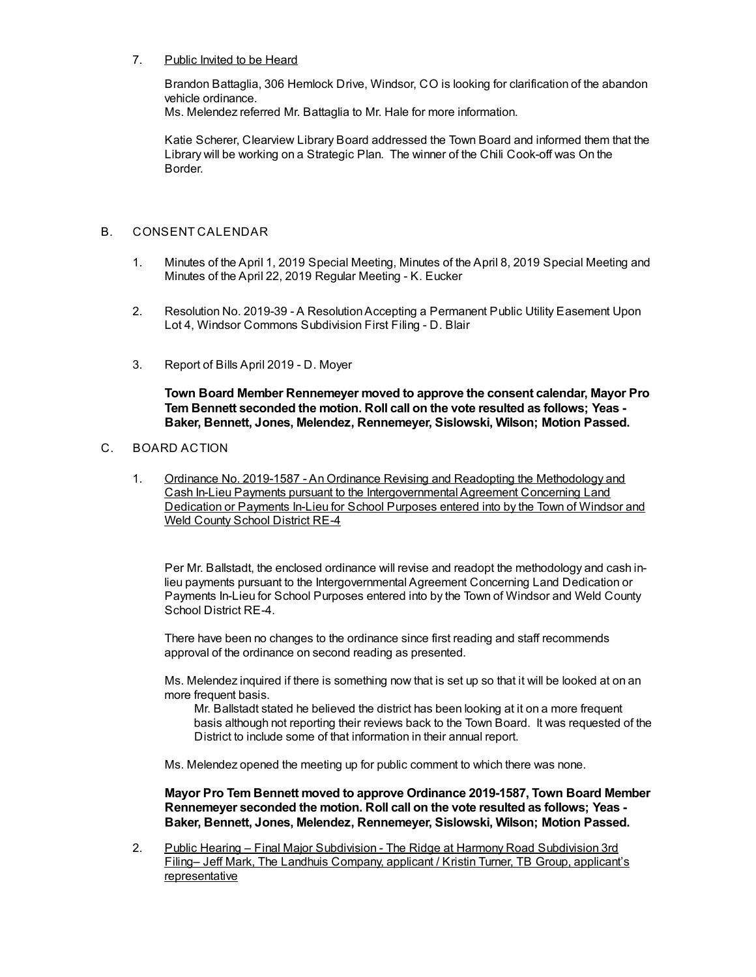## 7. Public Invited to be Heard

Brandon Battaglia, 306 Hemlock Drive, Windsor, CO is looking for clarification of the abandon vehicle ordinance.

Ms. Melendez referred Mr. Battaglia to Mr. Hale for more information.

Katie Scherer, Clearview Library Board addressed the Town Board and informed them that the Library will be working on a Strategic Plan. The winner of the Chili Cook-off was On the Border.

# B. CONSENT CALENDAR

- 1. Minutes of the April 1, 2019 Special Meeting, Minutes of the April 8, 2019 Special Meeting and Minutes of the April 22, 2019 Regular Meeting - K. Eucker
- 2. Resolution No. 2019-39 A ResolutionAccepting a Permanent Public Utility Easement Upon Lot 4, Windsor Commons Subdivision First Filing - D. Blair
- 3. Report of Bills April 2019 D. Moyer

**Town Board Member Rennemeyer moved to approve the consent calendar, Mayor Pro Tem Bennett seconded the motion. Roll call on the vote resulted as follows; Yeas - Baker, Bennett, Jones, Melendez, Rennemeyer, Sislowski, Wilson; Motion Passed.**

## C. BOARD ACTION

1. Ordinance No. 2019-1587 - An Ordinance Revising and Readopting the Methodology and Cash In-Lieu Payments pursuant to the Intergovernmental Agreement Concerning Land Dedication or Payments In-Lieu for School Purposes entered into by the Town of Windsor and Weld County School District RE-4

Per Mr. Ballstadt, the enclosed ordinance will revise and readopt the methodology and cash inlieu payments pursuant to the Intergovernmental Agreement Concerning Land Dedication or Payments In-Lieu for School Purposes entered into by the Town of Windsor and Weld County School District RE-4.

There have been no changes to the ordinance since first reading and staff recommends approval of the ordinance on second reading as presented.

Ms. Melendez inquired if there is something now that is set up so that it will be looked at on an more frequent basis.

Mr. Ballstadt stated he believed the district has been looking at it on a more frequent basis although not reporting their reviews back to the Town Board. It was requested of the District to include some of that information in their annual report.

Ms. Melendez opened the meeting up for public comment to which there was none.

**Mayor Pro Tem Bennett moved to approve Ordinance 2019-1587, Town Board Member Rennemeyer seconded the motion. Roll call on the vote resulted as follows; Yeas - Baker, Bennett, Jones, Melendez, Rennemeyer, Sislowski, Wilson; Motion Passed.**

2. Public Hearing – Final Major Subdivision - The Ridge at Harmony Road Subdivision 3rd Filing– Jeff Mark, The Landhuis Company, applicant / Kristin Turner, TB Group, applicant's representative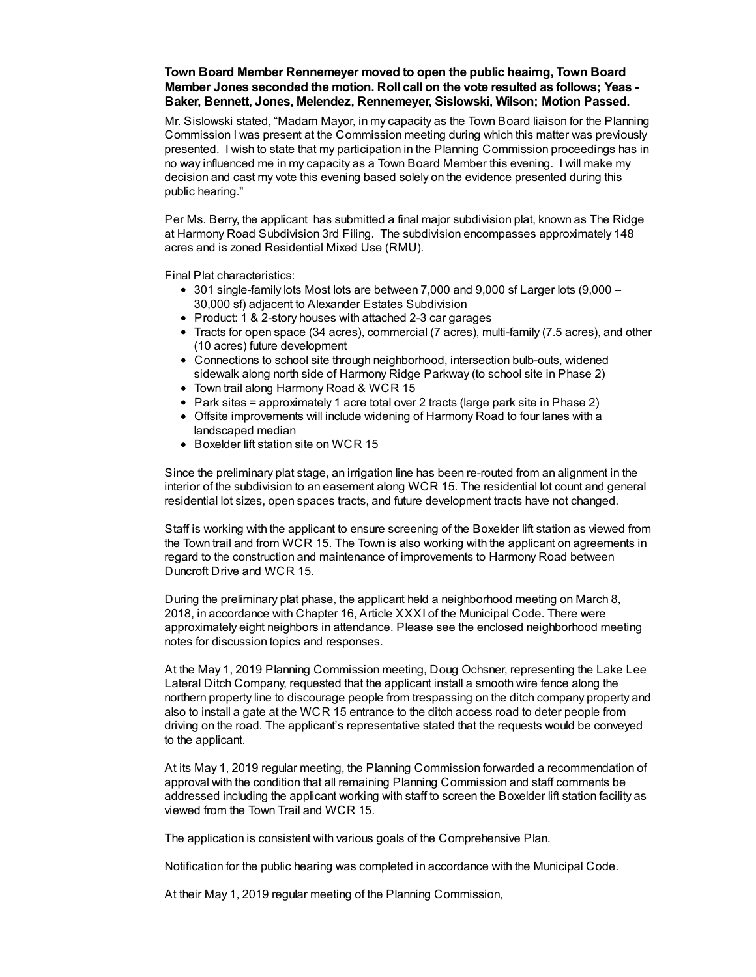## **Town Board Member Rennemeyer moved to open the public heairng, Town Board Member Jones seconded the motion. Roll call on the vote resulted as follows; Yeas - Baker, Bennett, Jones, Melendez, Rennemeyer, Sislowski, Wilson; Motion Passed.**

Mr. Sislowski stated, "Madam Mayor, in my capacity as the Town Board liaison for the Planning Commission I was present at the Commission meeting during which this matter was previously presented. I wish to state that my participation in the Planning Commission proceedings has in no way influenced me in my capacity as a Town Board Member this evening. I will make my decision and cast my vote this evening based solely on the evidence presented during this public hearing."

Per Ms. Berry, the applicant has submitted a final major subdivision plat, known as The Ridge at Harmony Road Subdivision 3rd Filing. The subdivision encompasses approximately 148 acres and is zoned Residential Mixed Use (RMU).

Final Plat characteristics:

- 301 single-family lots Most lots are between 7,000 and 9,000 sf Larger lots (9,000 30,000 sf) adjacent to Alexander Estates Subdivision
- Product: 1 & 2-story houses with attached 2-3 car garages
- Tracts for open space (34 acres), commercial (7 acres), multi-family (7.5 acres), and other (10 acres) future development
- Connections to school site through neighborhood, intersection bulb-outs, widened sidewalk along north side of Harmony Ridge Parkway (to school site in Phase 2)
- Town trail along Harmony Road & WCR 15
- Park sites = approximately 1 acre total over 2 tracts (large park site in Phase 2)
- Offsite improvements will include widening of Harmony Road to four lanes with a landscaped median
- Boxelder lift station site on WCR 15

Since the preliminary plat stage, an irrigation line has been re-routed from an alignment in the interior of the subdivision to an easement along WCR 15. The residential lot count and general residential lot sizes, open spaces tracts, and future development tracts have not changed.

Staff is working with the applicant to ensure screening of the Boxelder lift station as viewed from the Town trail and from WCR 15. The Town is also working with the applicant on agreements in regard to the construction and maintenance of improvements to Harmony Road between Duncroft Drive and WCR 15.

During the preliminary plat phase, the applicant held a neighborhood meeting on March 8, 2018, in accordance with Chapter 16, Article XXXI of the Municipal Code. There were approximately eight neighbors in attendance. Please see the enclosed neighborhood meeting notes for discussion topics and responses.

At the May 1, 2019 Planning Commission meeting, Doug Ochsner, representing the Lake Lee Lateral Ditch Company, requested that the applicant install a smooth wire fence along the northern property line to discourage people from trespassing on the ditch company property and also to install a gate at the WCR 15 entrance to the ditch access road to deter people from driving on the road. The applicant's representative stated that the requests would be conveyed to the applicant.

At its May 1, 2019 regular meeting, the Planning Commission forwarded a recommendation of approval with the condition that all remaining Planning Commission and staff comments be addressed including the applicant working with staff to screen the Boxelder lift station facility as viewed from the Town Trail and WCR 15.

The application is consistent with various goals of the Comprehensive Plan.

Notification for the public hearing was completed in accordance with the Municipal Code.

At their May 1, 2019 regular meeting of the Planning Commission,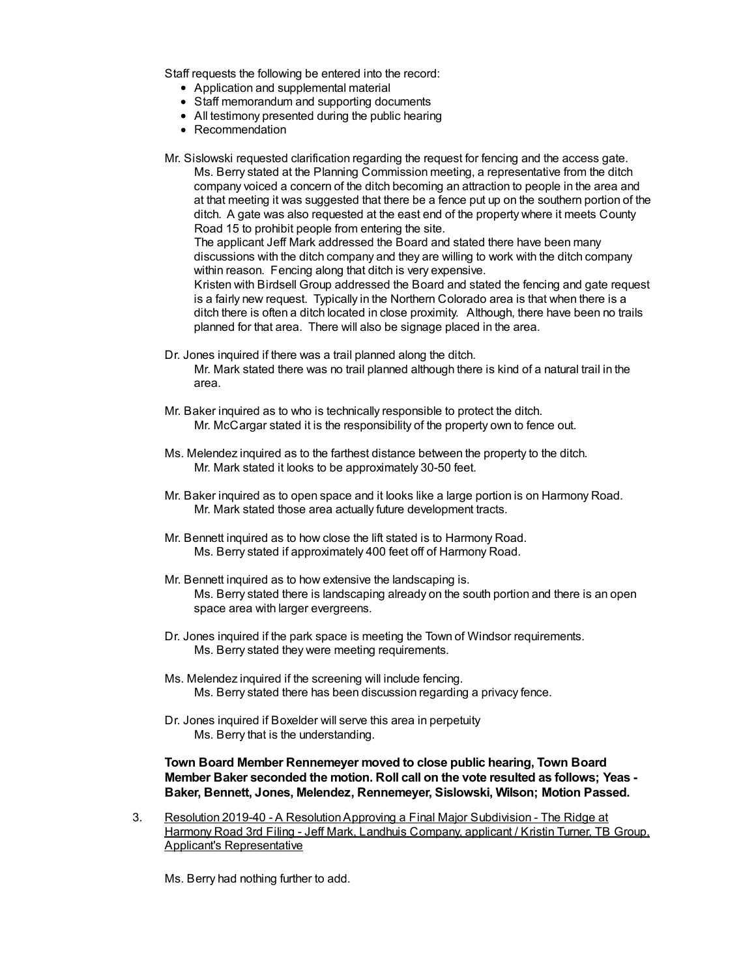Staff requests the following be entered into the record:

- Application and supplemental material
- Staff memorandum and supporting documents
- All testimony presented during the public hearing
- Recommendation

Mr. Sislowski requested clarification regarding the request for fencing and the access gate.

Ms. Berry stated at the Planning Commission meeting, a representative from the ditch company voiced a concern of the ditch becoming an attraction to people in the area and at that meeting it was suggested that there be a fence put up on the southern portion of the ditch. A gate was also requested at the east end of the property where it meets County Road 15 to prohibit people from entering the site.

The applicant Jeff Mark addressed the Board and stated there have been many discussions with the ditch company and they are willing to work with the ditch company within reason. Fencing along that ditch is very expensive.

Kristen with Birdsell Group addressed the Board and stated the fencing and gate request is a fairly new request. Typically in the Northern Colorado area is that when there is a ditch there is often a ditch located in close proximity. Although, there have been no trails planned for that area. There will also be signage placed in the area.

- Dr. Jones inquired if there was a trail planned along the ditch. Mr. Mark stated there was no trail planned although there is kind of a natural trail in the area.
- Mr. Baker inquired as to who is technically responsible to protect the ditch. Mr. McCargar stated it is the responsibility of the property own to fence out.
- Ms. Melendez inquired as to the farthest distance between the property to the ditch. Mr. Mark stated it looks to be approximately 30-50 feet.
- Mr. Baker inquired as to open space and it looks like a large portion is on Harmony Road. Mr. Mark stated those area actually future development tracts.
- Mr. Bennett inquired as to how close the lift stated is to Harmony Road. Ms. Berry stated if approximately 400 feet off of Harmony Road.
- Mr. Bennett inquired as to how extensive the landscaping is. Ms. Berry stated there is landscaping already on the south portion and there is an open space area with larger evergreens.
- Dr. Jones inquired if the park space is meeting the Town of Windsor requirements. Ms. Berry stated they were meeting requirements.
- Ms. Melendez inquired if the screening will include fencing. Ms. Berry stated there has been discussion regarding a privacy fence.
- Dr. Jones inquired if Boxelder will serve this area in perpetuity Ms. Berry that is the understanding.

## **Town Board Member Rennemeyer moved to close public hearing, Town Board Member Baker seconded the motion. Roll call on the vote resulted as follows; Yeas - Baker, Bennett, Jones, Melendez, Rennemeyer, Sislowski, Wilson; Motion Passed.**

3. Resolution 2019-40 - A ResolutionApproving a Final Major Subdivision - The Ridge at Harmony Road 3rd Filing - Jeff Mark, Landhuis Company, applicant / Kristin Turner, TB Group, Applicant's Representative

Ms. Berry had nothing further to add.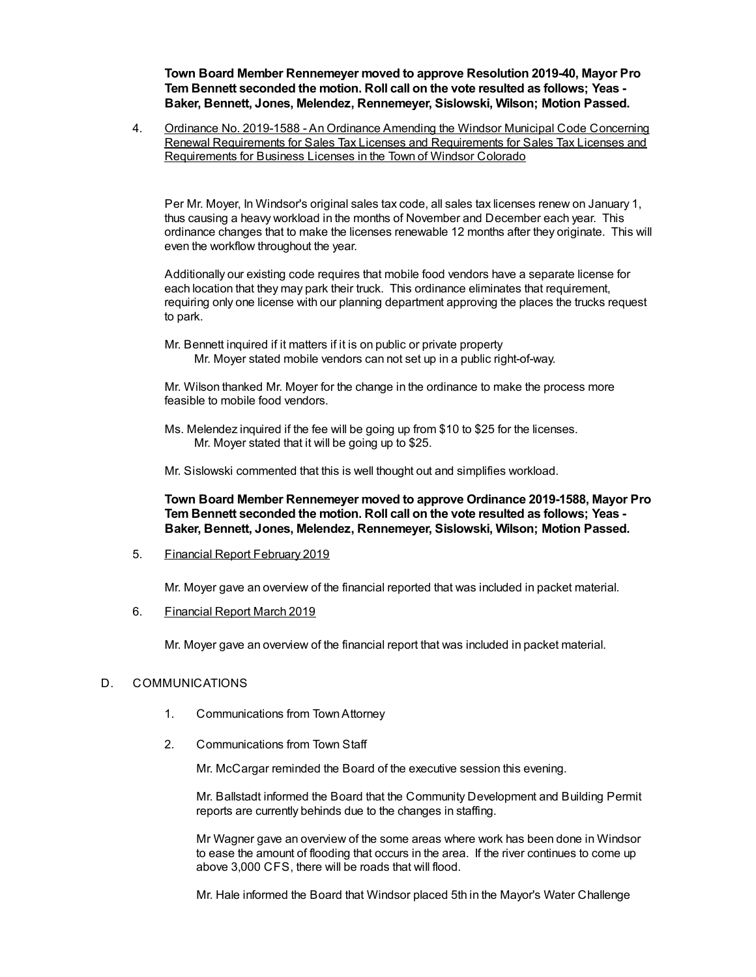**Town Board Member Rennemeyer moved to approve Resolution 2019-40, Mayor Pro Tem Bennett seconded the motion. Roll call on the vote resulted as follows; Yeas - Baker, Bennett, Jones, Melendez, Rennemeyer, Sislowski, Wilson; Motion Passed.**

4. Ordinance No. 2019-1588 - An Ordinance Amending the Windsor Municipal Code Concerning Renewal Requirements for Sales Tax Licenses and Requirements for Sales Tax Licenses and Requirements for Business Licenses in the Town of Windsor Colorado

Per Mr. Moyer, In Windsor's original sales tax code, all sales tax licenses renew on January 1, thus causing a heavy workload in the months of November and December each year. This ordinance changes that to make the licenses renewable 12 months after they originate. This will even the workflow throughout the year.

Additionally our existing code requires that mobile food vendors have a separate license for each location that they may park their truck. This ordinance eliminates that requirement, requiring only one license with our planning department approving the places the trucks request to park.

Mr. Bennett inquired if it matters if it is on public or private property Mr. Moyer stated mobile vendors can not set up in a public right-of-way.

Mr. Wilson thanked Mr. Moyer for the change in the ordinance to make the process more feasible to mobile food vendors.

Ms. Melendez inquired if the fee will be going up from \$10 to \$25 for the licenses. Mr. Moyer stated that it will be going up to \$25.

Mr. Sislowski commented that this is well thought out and simplifies workload.

**Town Board Member Rennemeyer moved to approve Ordinance 2019-1588, Mayor Pro Tem Bennett seconded the motion. Roll call on the vote resulted as follows; Yeas - Baker, Bennett, Jones, Melendez, Rennemeyer, Sislowski, Wilson; Motion Passed.**

5. Financial Report February 2019

Mr. Moyer gave an overview of the financial reported that was included in packet material.

6. Financial Report March 2019

Mr. Moyer gave an overview of the financial report that was included in packet material.

## D. COMMUNICATIONS

- 1. Communications from TownAttorney
- 2. Communications from Town Staff

Mr. McCargar reminded the Board of the executive session this evening.

Mr. Ballstadt informed the Board that the Community Development and Building Permit reports are currently behinds due to the changes in staffing.

Mr Wagner gave an overview of the some areas where work has been done in Windsor to ease the amount of flooding that occurs in the area. If the river continues to come up above 3,000 CFS, there will be roads that will flood.

Mr. Hale informed the Board that Windsor placed 5th in the Mayor's Water Challenge